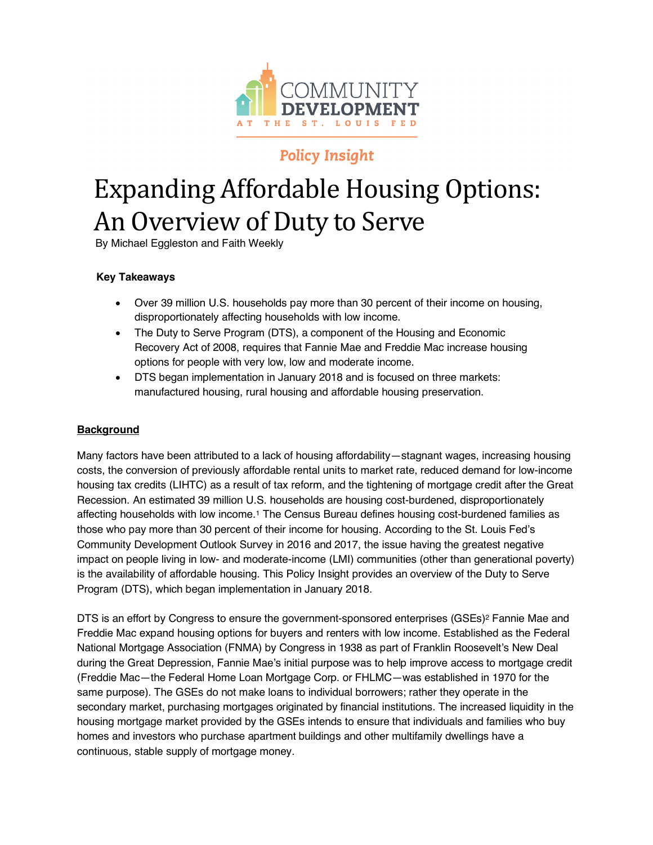

# **Policy Insight**

# Expanding Affordable Housing Options: An Overview of Duty to Serve

By Michael Eggleston and Faith Weekly

# **Key Takeaways**

- Over 39 million U.S. households pay more than 30 percent of their income on housing, disproportionately affecting households with low income.
- The Duty to Serve Program (DTS), a component of the Housing and Economic Recovery Act of 2008, requires that Fannie Mae and Freddie Mac increase housing options for people with very low, low and moderate income.
- DTS began implementation in January 2018 and is focused on three markets: manufactured housing, rural housing and affordable housing preservation.

# **Background**

Many factors have been attributed to a lack of housing affordability—stagnant wages, increasing housing costs, the conversion of previously affordable rental units to market rate, reduced demand for low-income housing tax credits (LIHTC) as a result of tax reform, and the tightening of mortgage credit after the Great Recession. An estimated 39 million U.S. households are housing cost-burdened, disproportionately affecting households with low income.1 The Census Bureau defines housing cost-burdened families as those who pay more than 30 percent of their income for housing. According to the St. Louis Fed's Community Development Outlook Survey in 2016 and 2017, the issue having the greatest negative impact on people living in low- and moderate-income (LMI) communities (other than generational poverty) is the availability of affordable housing. This Policy Insight provides an overview of the Duty to Serve Program (DTS), which began implementation in January 2018.

DTS is an effort by Congress to ensure the government-sponsored enterprises (GSEs)<sup>2</sup> Fannie Mae and Freddie Mac expand housing options for buyers and renters with low income. Established as the Federal National Mortgage Association (FNMA) by Congress in 1938 as part of Franklin Roosevelt's New Deal during the Great Depression, Fannie Mae's initial purpose was to help improve access to mortgage credit (Freddie Mac—the Federal Home Loan Mortgage Corp. or FHLMC—was established in 1970 for the same purpose). The GSEs do not make loans to individual borrowers; rather they operate in the secondary market, purchasing mortgages originated by financial institutions. The increased liquidity in the housing mortgage market provided by the GSEs intends to ensure that individuals and families who buy homes and investors who purchase apartment buildings and other multifamily dwellings have a continuous, stable supply of mortgage money.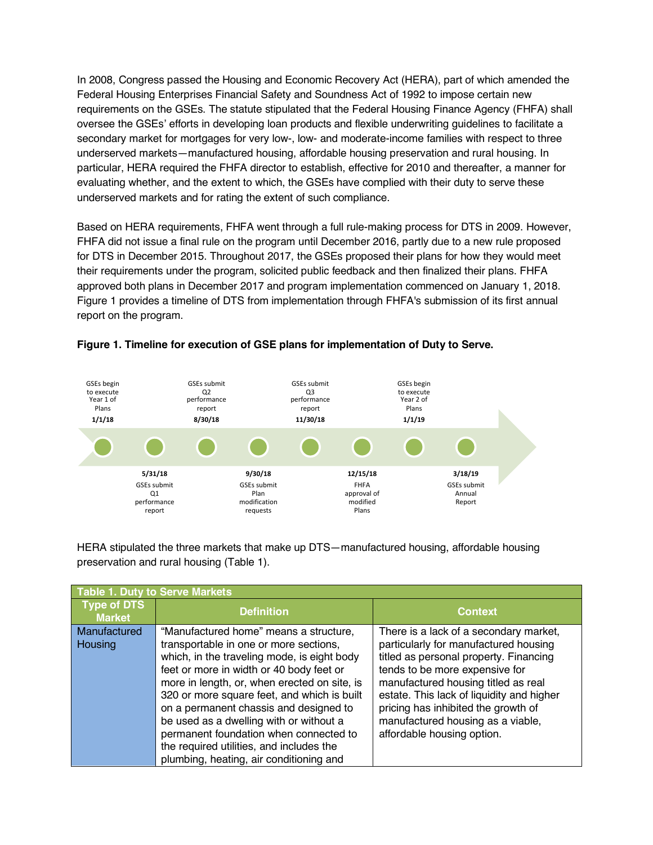In 2008, Congress passed the Housing and Economic Recovery Act (HERA), part of which amended the Federal Housing Enterprises Financial Safety and Soundness Act of 1992 to impose certain new requirements on the GSEs. The statute stipulated that the Federal Housing Finance Agency (FHFA) shall oversee the GSEs' efforts in developing loan products and flexible underwriting guidelines to facilitate a secondary market for mortgages for very low-, low- and moderate-income families with respect to three underserved markets—manufactured housing, affordable housing preservation and rural housing. In particular, HERA required the FHFA director to establish, effective for 2010 and thereafter, a manner for evaluating whether, and the extent to which, the GSEs have complied with their duty to serve these underserved markets and for rating the extent of such compliance.

Based on HERA requirements, FHFA went through a full rule-making process for DTS in 2009. However, FHFA did not issue a final rule on the program until December 2016, partly due to a new rule proposed for DTS in December 2015. Throughout 2017, the GSEs proposed their plans for how they would meet their requirements under the program, solicited public feedback and then finalized their plans. FHFA approved both plans in December 2017 and program implementation commenced on January 1, 2018. Figure 1 provides a timeline of DTS from implementation through FHFA's submission of its first annual report on the program.



#### **Figure 1. Timeline for execution of GSE plans for implementation of Duty to Serve.**

HERA stipulated the three markets that make up DTS—manufactured housing, affordable housing preservation and rural housing (Table 1).

| Table 1. Duty to Serve Markets      |                                              |                                           |  |  |  |
|-------------------------------------|----------------------------------------------|-------------------------------------------|--|--|--|
| <b>Type of DTS</b><br><b>Market</b> | <b>Definition</b>                            | <b>Context</b>                            |  |  |  |
| Manufactured                        | "Manufactured home" means a structure,       | There is a lack of a secondary market,    |  |  |  |
| Housing                             | transportable in one or more sections,       | particularly for manufactured housing     |  |  |  |
|                                     | which, in the traveling mode, is eight body  | titled as personal property. Financing    |  |  |  |
|                                     | feet or more in width or 40 body feet or     | tends to be more expensive for            |  |  |  |
|                                     | more in length, or, when erected on site, is | manufactured housing titled as real       |  |  |  |
|                                     | 320 or more square feet, and which is built  | estate. This lack of liquidity and higher |  |  |  |
|                                     | on a permanent chassis and designed to       | pricing has inhibited the growth of       |  |  |  |
|                                     | be used as a dwelling with or without a      | manufactured housing as a viable,         |  |  |  |
|                                     | permanent foundation when connected to       | affordable housing option.                |  |  |  |
|                                     | the required utilities, and includes the     |                                           |  |  |  |
|                                     | plumbing, heating, air conditioning and      |                                           |  |  |  |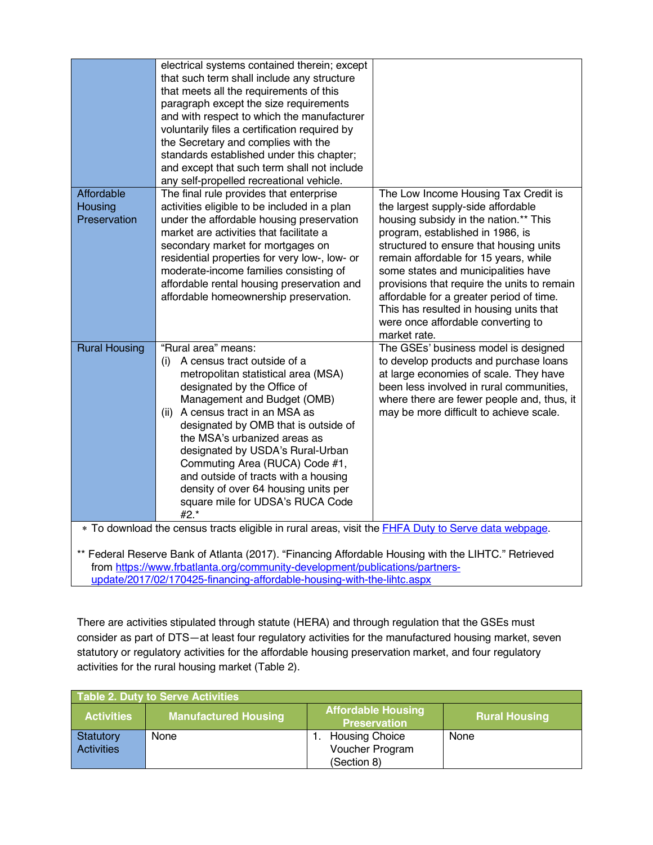| Affordable                                                                                                  | electrical systems contained therein; except<br>that such term shall include any structure<br>that meets all the requirements of this<br>paragraph except the size requirements<br>and with respect to which the manufacturer<br>voluntarily files a certification required by<br>the Secretary and complies with the<br>standards established under this chapter;<br>and except that such term shall not include<br>any self-propelled recreational vehicle.<br>The final rule provides that enterprise | The Low Income Housing Tax Credit is                                                   |  |  |  |
|-------------------------------------------------------------------------------------------------------------|----------------------------------------------------------------------------------------------------------------------------------------------------------------------------------------------------------------------------------------------------------------------------------------------------------------------------------------------------------------------------------------------------------------------------------------------------------------------------------------------------------|----------------------------------------------------------------------------------------|--|--|--|
| <b>Housing</b>                                                                                              | activities eligible to be included in a plan                                                                                                                                                                                                                                                                                                                                                                                                                                                             | the largest supply-side affordable                                                     |  |  |  |
| Preservation                                                                                                | under the affordable housing preservation                                                                                                                                                                                                                                                                                                                                                                                                                                                                | housing subsidy in the nation.** This                                                  |  |  |  |
|                                                                                                             | market are activities that facilitate a<br>secondary market for mortgages on                                                                                                                                                                                                                                                                                                                                                                                                                             | program, established in 1986, is<br>structured to ensure that housing units            |  |  |  |
|                                                                                                             | residential properties for very low-, low- or                                                                                                                                                                                                                                                                                                                                                                                                                                                            | remain affordable for 15 years, while                                                  |  |  |  |
|                                                                                                             | moderate-income families consisting of                                                                                                                                                                                                                                                                                                                                                                                                                                                                   | some states and municipalities have                                                    |  |  |  |
|                                                                                                             | affordable rental housing preservation and                                                                                                                                                                                                                                                                                                                                                                                                                                                               | provisions that require the units to remain                                            |  |  |  |
|                                                                                                             | affordable homeownership preservation.                                                                                                                                                                                                                                                                                                                                                                                                                                                                   | affordable for a greater period of time.                                               |  |  |  |
|                                                                                                             |                                                                                                                                                                                                                                                                                                                                                                                                                                                                                                          | This has resulted in housing units that<br>were once affordable converting to          |  |  |  |
|                                                                                                             |                                                                                                                                                                                                                                                                                                                                                                                                                                                                                                          | market rate.                                                                           |  |  |  |
| <b>Rural Housing</b>                                                                                        | "Rural area" means:                                                                                                                                                                                                                                                                                                                                                                                                                                                                                      | The GSEs' business model is designed                                                   |  |  |  |
|                                                                                                             | A census tract outside of a<br>(i)                                                                                                                                                                                                                                                                                                                                                                                                                                                                       | to develop products and purchase loans                                                 |  |  |  |
|                                                                                                             | metropolitan statistical area (MSA)                                                                                                                                                                                                                                                                                                                                                                                                                                                                      | at large economies of scale. They have                                                 |  |  |  |
|                                                                                                             | designated by the Office of<br>Management and Budget (OMB)                                                                                                                                                                                                                                                                                                                                                                                                                                               | been less involved in rural communities,<br>where there are fewer people and, thus, it |  |  |  |
|                                                                                                             | (ii) A census tract in an MSA as                                                                                                                                                                                                                                                                                                                                                                                                                                                                         | may be more difficult to achieve scale.                                                |  |  |  |
|                                                                                                             | designated by OMB that is outside of                                                                                                                                                                                                                                                                                                                                                                                                                                                                     |                                                                                        |  |  |  |
|                                                                                                             | the MSA's urbanized areas as                                                                                                                                                                                                                                                                                                                                                                                                                                                                             |                                                                                        |  |  |  |
|                                                                                                             | designated by USDA's Rural-Urban                                                                                                                                                                                                                                                                                                                                                                                                                                                                         |                                                                                        |  |  |  |
|                                                                                                             | Commuting Area (RUCA) Code #1,<br>and outside of tracts with a housing                                                                                                                                                                                                                                                                                                                                                                                                                                   |                                                                                        |  |  |  |
|                                                                                                             | density of over 64 housing units per                                                                                                                                                                                                                                                                                                                                                                                                                                                                     |                                                                                        |  |  |  |
|                                                                                                             | square mile for UDSA's RUCA Code                                                                                                                                                                                                                                                                                                                                                                                                                                                                         |                                                                                        |  |  |  |
|                                                                                                             | $#2.*$                                                                                                                                                                                                                                                                                                                                                                                                                                                                                                   |                                                                                        |  |  |  |
| * To download the census tracts eligible in rural areas, visit the <b>FHFA Duty to Serve data webpage</b> . |                                                                                                                                                                                                                                                                                                                                                                                                                                                                                                          |                                                                                        |  |  |  |
| ** Federal Reserve Bank of Atlanta (2017). "Financing Affordable Housing with the LIHTC." Retrieved         |                                                                                                                                                                                                                                                                                                                                                                                                                                                                                                          |                                                                                        |  |  |  |
|                                                                                                             |                                                                                                                                                                                                                                                                                                                                                                                                                                                                                                          |                                                                                        |  |  |  |

from https://www.frbatlanta.org/community-development/publications/partnersupdate/2017/02/170425-financing-affordable-housing-with-the-lihtc.aspx

There are activities stipulated through statute (HERA) and through regulation that the GSEs must consider as part of DTS—at least four regulatory activities for the manufactured housing market, seven statutory or regulatory activities for the affordable housing preservation market, and four regulatory activities for the rural housing market (Table 2).

| Table 2. Duty to Serve Activities |                             |                                                  |                      |  |
|-----------------------------------|-----------------------------|--------------------------------------------------|----------------------|--|
| <b>Activities</b>                 | <b>Manufactured Housing</b> | <b>Affordable Housing</b><br><b>Preservation</b> | <b>Rural Housing</b> |  |
| Statutory                         | None                        | <b>Housing Choice</b>                            | None                 |  |
| Activities                        |                             | Voucher Program                                  |                      |  |
|                                   |                             | (Section 8)                                      |                      |  |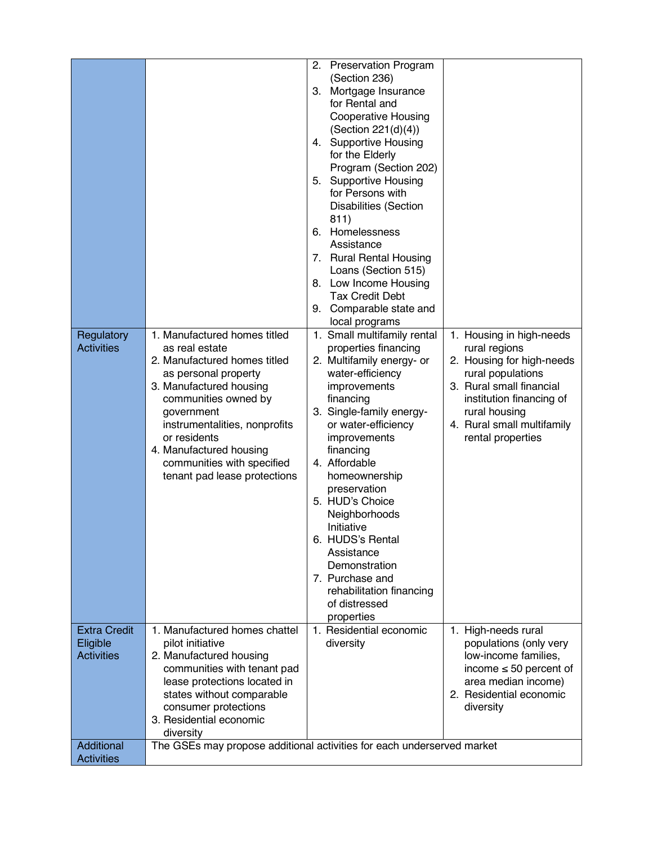| Regulatory                                           | 1. Manufactured homes titled                                                                                                                                                                                                                                                      | <b>Preservation Program</b><br>2.<br>(Section 236)<br>Mortgage Insurance<br>З.<br>for Rental and<br><b>Cooperative Housing</b><br>(Section 221(d)(4))<br><b>Supportive Housing</b><br>4.<br>for the Elderly<br>Program (Section 202)<br><b>Supportive Housing</b><br>5.<br>for Persons with<br><b>Disabilities (Section</b><br>811)<br>Homelessness<br>6.<br>Assistance<br>7. Rural Rental Housing<br>Loans (Section 515)<br>8. Low Income Housing<br><b>Tax Credit Debt</b><br>Comparable state and<br>9.<br>local programs<br>1. Small multifamily rental | 1. Housing in high-needs                                                                                                                                                                    |
|------------------------------------------------------|-----------------------------------------------------------------------------------------------------------------------------------------------------------------------------------------------------------------------------------------------------------------------------------|-------------------------------------------------------------------------------------------------------------------------------------------------------------------------------------------------------------------------------------------------------------------------------------------------------------------------------------------------------------------------------------------------------------------------------------------------------------------------------------------------------------------------------------------------------------|---------------------------------------------------------------------------------------------------------------------------------------------------------------------------------------------|
| <b>Activities</b>                                    | as real estate<br>2. Manufactured homes titled<br>as personal property<br>3. Manufactured housing<br>communities owned by<br>government<br>instrumentalities, nonprofits<br>or residents<br>4. Manufactured housing<br>communities with specified<br>tenant pad lease protections | properties financing<br>2. Multifamily energy- or<br>water-efficiency<br>improvements<br>financing<br>3. Single-family energy-<br>or water-efficiency<br>improvements<br>financing<br>4. Affordable<br>homeownership<br>preservation<br>5. HUD's Choice<br>Neighborhoods<br>Initiative<br>6. HUDS's Rental<br>Assistance<br>Demonstration<br>7. Purchase and<br>rehabilitation financing<br>of distressed<br>properties                                                                                                                                     | rural regions<br>2. Housing for high-needs<br>rural populations<br>3. Rural small financial<br>institution financing of<br>rural housing<br>4. Rural small multifamily<br>rental properties |
| <b>Extra Credit</b><br>Eligible<br><b>Activities</b> | 1. Manufactured homes chattel<br>pilot initiative<br>2. Manufactured housing<br>communities with tenant pad<br>lease protections located in<br>states without comparable<br>consumer protections<br>3. Residential economic<br>diversity                                          | 1. Residential economic<br>diversity                                                                                                                                                                                                                                                                                                                                                                                                                                                                                                                        | 1. High-needs rural<br>populations (only very<br>low-income families,<br>income $\leq 50$ percent of<br>area median income)<br>2. Residential economic<br>diversity                         |
| Additional<br><b>Activities</b>                      | The GSEs may propose additional activities for each underserved market                                                                                                                                                                                                            |                                                                                                                                                                                                                                                                                                                                                                                                                                                                                                                                                             |                                                                                                                                                                                             |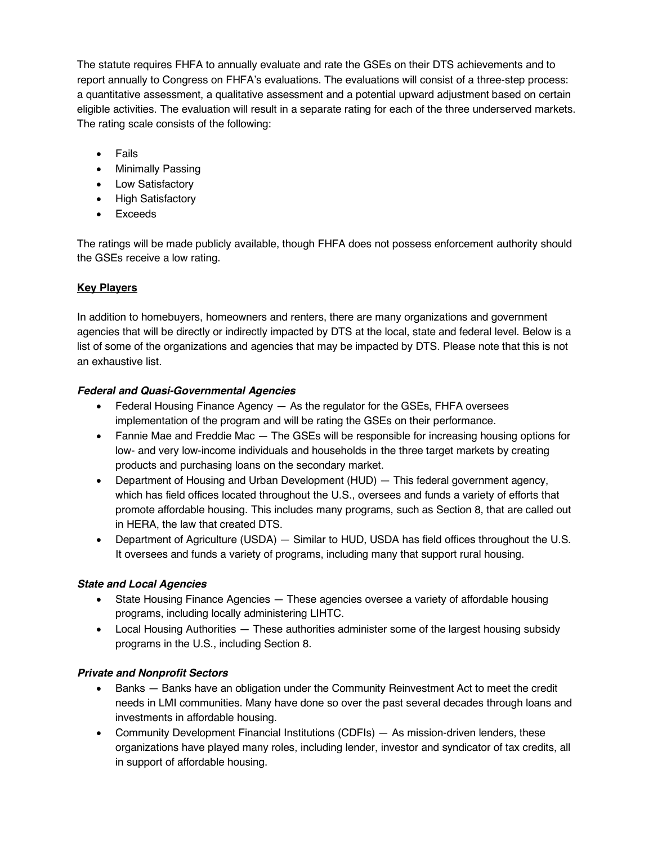The statute requires FHFA to annually evaluate and rate the GSEs on their DTS achievements and to report annually to Congress on FHFA's evaluations. The evaluations will consist of a three-step process: a quantitative assessment, a qualitative assessment and a potential upward adjustment based on certain eligible activities. The evaluation will result in a separate rating for each of the three underserved markets. The rating scale consists of the following:

- Fails
- Minimally Passing
- Low Satisfactory
- High Satisfactory
- Exceeds

The ratings will be made publicly available, though FHFA does not possess enforcement authority should the GSEs receive a low rating.

## **Key Players**

In addition to homebuyers, homeowners and renters, there are many organizations and government agencies that will be directly or indirectly impacted by DTS at the local, state and federal level. Below is a list of some of the organizations and agencies that may be impacted by DTS. Please note that this is not an exhaustive list.

#### *Federal and Quasi-Governmental Agencies*

- Federal Housing Finance Agency  $-$  As the regulator for the GSEs, FHFA oversees implementation of the program and will be rating the GSEs on their performance.
- Fannie Mae and Freddie Mac The GSEs will be responsible for increasing housing options for low- and very low-income individuals and households in the three target markets by creating products and purchasing loans on the secondary market.
- Department of Housing and Urban Development (HUD) This federal government agency, which has field offices located throughout the U.S., oversees and funds a variety of efforts that promote affordable housing. This includes many programs, such as Section 8, that are called out in HERA, the law that created DTS.
- Department of Agriculture (USDA) Similar to HUD, USDA has field offices throughout the U.S. It oversees and funds a variety of programs, including many that support rural housing.

#### *State and Local Agencies*

- State Housing Finance Agencies These agencies oversee a variety of affordable housing programs, including locally administering LIHTC.
- Local Housing Authorities These authorities administer some of the largest housing subsidy programs in the U.S., including Section 8.

#### *Private and Nonprofit Sectors*

- Banks Banks have an obligation under the Community Reinvestment Act to meet the credit needs in LMI communities. Many have done so over the past several decades through loans and investments in affordable housing.
- Community Development Financial Institutions (CDFIs) As mission-driven lenders, these organizations have played many roles, including lender, investor and syndicator of tax credits, all in support of affordable housing.